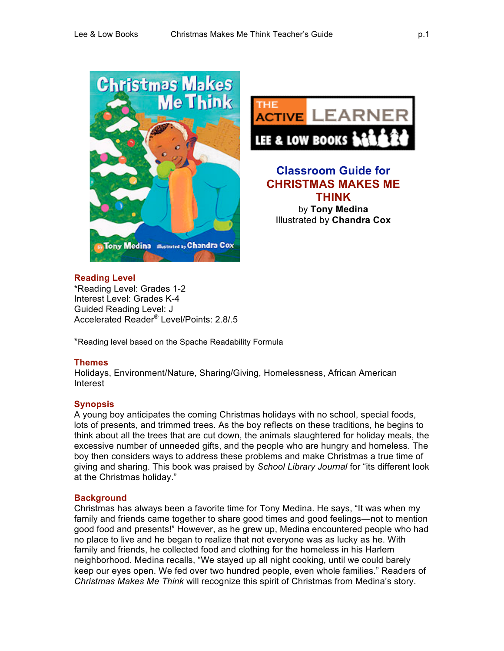



# **Classroom Guide for CHRISTMAS MAKES ME THINK** by **Tony Medina** Illustrated by **Chandra Cox**

# **Reading Level**

\*Reading Level: Grades 1-2 Interest Level: Grades K-4 Guided Reading Level: J Accelerated Reader® Level/Points: 2.8/.5

\*Reading level based on the Spache Readability Formula

# **Themes**

Holidays, Environment/Nature, Sharing/Giving, Homelessness, African American Interest

# **Synopsis**

A young boy anticipates the coming Christmas holidays with no school, special foods, lots of presents, and trimmed trees. As the boy reflects on these traditions, he begins to think about all the trees that are cut down, the animals slaughtered for holiday meals, the excessive number of unneeded gifts, and the people who are hungry and homeless. The boy then considers ways to address these problems and make Christmas a true time of giving and sharing. This book was praised by *School Library Journal* for "its different look at the Christmas holiday."

# **Background**

Christmas has always been a favorite time for Tony Medina. He says, "It was when my family and friends came together to share good times and good feelings—not to mention good food and presents!" However, as he grew up, Medina encountered people who had no place to live and he began to realize that not everyone was as lucky as he. With family and friends, he collected food and clothing for the homeless in his Harlem neighborhood. Medina recalls, "We stayed up all night cooking, until we could barely keep our eyes open. We fed over two hundred people, even whole families." Readers of *Christmas Makes Me Think* will recognize this spirit of Christmas from Medina's story.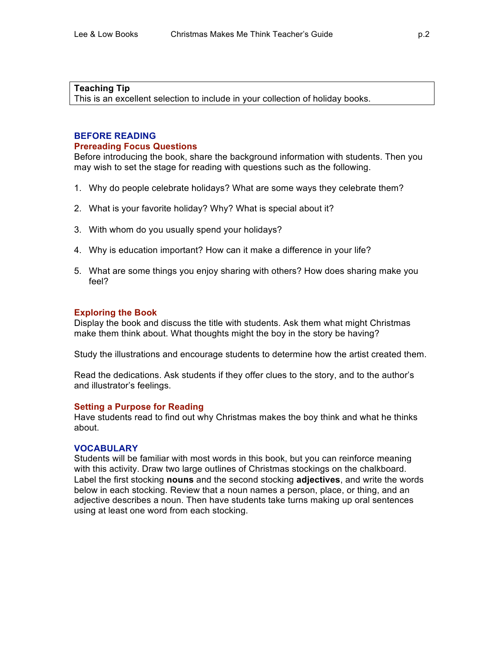# **Teaching Tip**

This is an excellent selection to include in your collection of holiday books.

# **BEFORE READING Prereading Focus Questions**

Before introducing the book, share the background information with students. Then you may wish to set the stage for reading with questions such as the following.

- 1. Why do people celebrate holidays? What are some ways they celebrate them?
- 2. What is your favorite holiday? Why? What is special about it?
- 3. With whom do you usually spend your holidays?
- 4. Why is education important? How can it make a difference in your life?
- 5. What are some things you enjoy sharing with others? How does sharing make you feel?

# **Exploring the Book**

Display the book and discuss the title with students. Ask them what might Christmas make them think about. What thoughts might the boy in the story be having?

Study the illustrations and encourage students to determine how the artist created them.

Read the dedications. Ask students if they offer clues to the story, and to the author's and illustrator's feelings.

# **Setting a Purpose for Reading**

Have students read to find out why Christmas makes the boy think and what he thinks about.

# **VOCABULARY**

Students will be familiar with most words in this book, but you can reinforce meaning with this activity. Draw two large outlines of Christmas stockings on the chalkboard. Label the first stocking **nouns** and the second stocking **adjectives**, and write the words below in each stocking. Review that a noun names a person, place, or thing, and an adjective describes a noun. Then have students take turns making up oral sentences using at least one word from each stocking.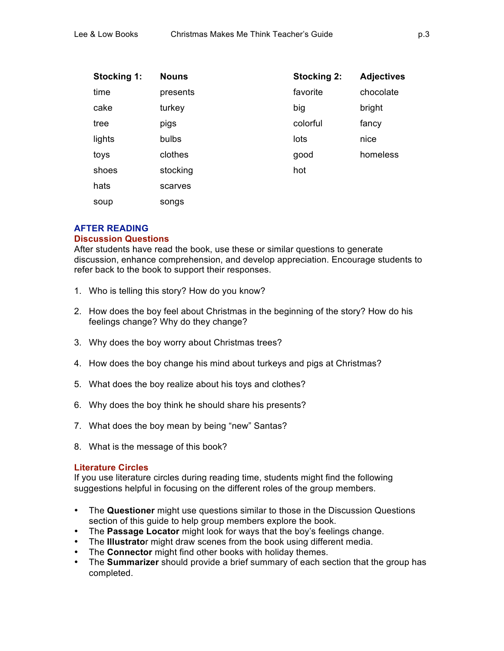| Stocking 1: | <b>Nouns</b> | <b>Stocking 2:</b> | <b>Adjectives</b> |
|-------------|--------------|--------------------|-------------------|
| time        | presents     | favorite           | chocolate         |
| cake        | turkey       | big                | bright            |
| tree        | pigs         | colorful           | fancy             |
| lights      | bulbs        | lots               | nice              |
| toys        | clothes      | good               | homeless          |
| shoes       | stocking     | hot                |                   |
| hats        | scarves      |                    |                   |
| soup        | songs        |                    |                   |

# **AFTER READING**

# **Discussion Questions**

After students have read the book, use these or similar questions to generate discussion, enhance comprehension, and develop appreciation. Encourage students to refer back to the book to support their responses.

- 1. Who is telling this story? How do you know?
- 2. How does the boy feel about Christmas in the beginning of the story? How do his feelings change? Why do they change?
- 3. Why does the boy worry about Christmas trees?
- 4. How does the boy change his mind about turkeys and pigs at Christmas?
- 5. What does the boy realize about his toys and clothes?
- 6. Why does the boy think he should share his presents?
- 7. What does the boy mean by being "new" Santas?
- 8. What is the message of this book?

# **Literature Circles**

If you use literature circles during reading time, students might find the following suggestions helpful in focusing on the different roles of the group members.

- The **Questioner** might use questions similar to those in the Discussion Questions section of this guide to help group members explore the book.
- The **Passage Locator** might look for ways that the boy's feelings change.
- The **Illustrato**r might draw scenes from the book using different media.
- The **Connector** might find other books with holiday themes.
- The **Summarizer** should provide a brief summary of each section that the group has completed.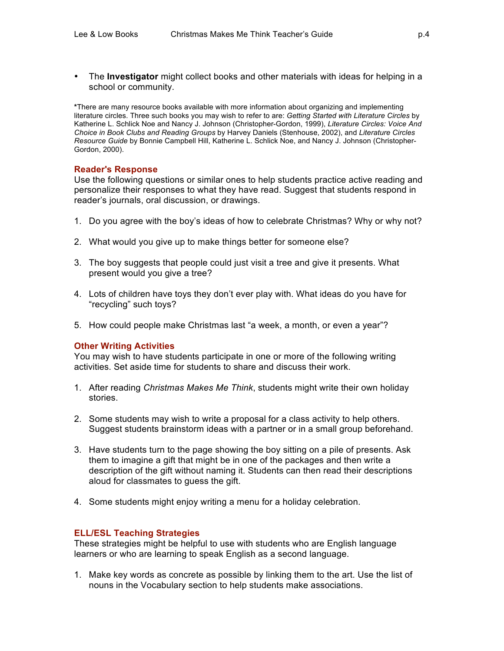• The **Investigator** might collect books and other materials with ideas for helping in a school or community.

**\***There are many resource books available with more information about organizing and implementing literature circles. Three such books you may wish to refer to are: *Getting Started with Literature Circles* by Katherine L. Schlick Noe and Nancy J. Johnson (Christopher-Gordon, 1999), *Literature Circles: Voice And Choice in Book Clubs and Reading Groups* by Harvey Daniels (Stenhouse, 2002), and *Literature Circles Resource Guide* by Bonnie Campbell Hill, Katherine L. Schlick Noe, and Nancy J. Johnson (Christopher-Gordon, 2000).

# **Reader's Response**

Use the following questions or similar ones to help students practice active reading and personalize their responses to what they have read. Suggest that students respond in reader's journals, oral discussion, or drawings.

- 1. Do you agree with the boy's ideas of how to celebrate Christmas? Why or why not?
- 2. What would you give up to make things better for someone else?
- 3. The boy suggests that people could just visit a tree and give it presents. What present would you give a tree?
- 4. Lots of children have toys they don't ever play with. What ideas do you have for "recycling" such toys?
- 5. How could people make Christmas last "a week, a month, or even a year"?

# **Other Writing Activities**

You may wish to have students participate in one or more of the following writing activities. Set aside time for students to share and discuss their work.

- 1. After reading *Christmas Makes Me Think*, students might write their own holiday stories.
- 2. Some students may wish to write a proposal for a class activity to help others. Suggest students brainstorm ideas with a partner or in a small group beforehand.
- 3. Have students turn to the page showing the boy sitting on a pile of presents. Ask them to imagine a gift that might be in one of the packages and then write a description of the gift without naming it. Students can then read their descriptions aloud for classmates to guess the gift.
- 4. Some students might enjoy writing a menu for a holiday celebration.

# **ELL/ESL Teaching Strategies**

These strategies might be helpful to use with students who are English language learners or who are learning to speak English as a second language.

1. Make key words as concrete as possible by linking them to the art. Use the list of nouns in the Vocabulary section to help students make associations.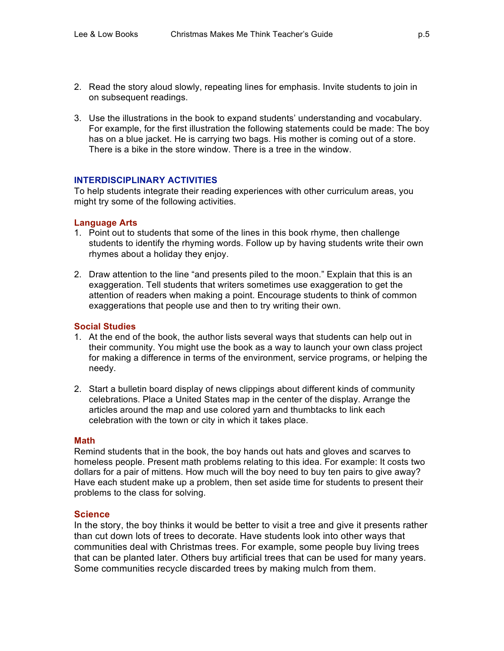- 2. Read the story aloud slowly, repeating lines for emphasis. Invite students to join in on subsequent readings.
- 3. Use the illustrations in the book to expand students' understanding and vocabulary. For example, for the first illustration the following statements could be made: The boy has on a blue jacket. He is carrying two bags. His mother is coming out of a store. There is a bike in the store window. There is a tree in the window.

#### **INTERDISCIPLINARY ACTIVITIES**

To help students integrate their reading experiences with other curriculum areas, you might try some of the following activities.

#### **Language Arts**

- 1. Point out to students that some of the lines in this book rhyme, then challenge students to identify the rhyming words. Follow up by having students write their own rhymes about a holiday they enjoy.
- 2. Draw attention to the line "and presents piled to the moon." Explain that this is an exaggeration. Tell students that writers sometimes use exaggeration to get the attention of readers when making a point. Encourage students to think of common exaggerations that people use and then to try writing their own.

#### **Social Studies**

- 1. At the end of the book, the author lists several ways that students can help out in their community. You might use the book as a way to launch your own class project for making a difference in terms of the environment, service programs, or helping the needy.
- 2. Start a bulletin board display of news clippings about different kinds of community celebrations. Place a United States map in the center of the display. Arrange the articles around the map and use colored yarn and thumbtacks to link each celebration with the town or city in which it takes place.

#### **Math**

Remind students that in the book, the boy hands out hats and gloves and scarves to homeless people. Present math problems relating to this idea. For example: It costs two dollars for a pair of mittens. How much will the boy need to buy ten pairs to give away? Have each student make up a problem, then set aside time for students to present their problems to the class for solving.

# **Science**

In the story, the boy thinks it would be better to visit a tree and give it presents rather than cut down lots of trees to decorate. Have students look into other ways that communities deal with Christmas trees. For example, some people buy living trees that can be planted later. Others buy artificial trees that can be used for many years. Some communities recycle discarded trees by making mulch from them.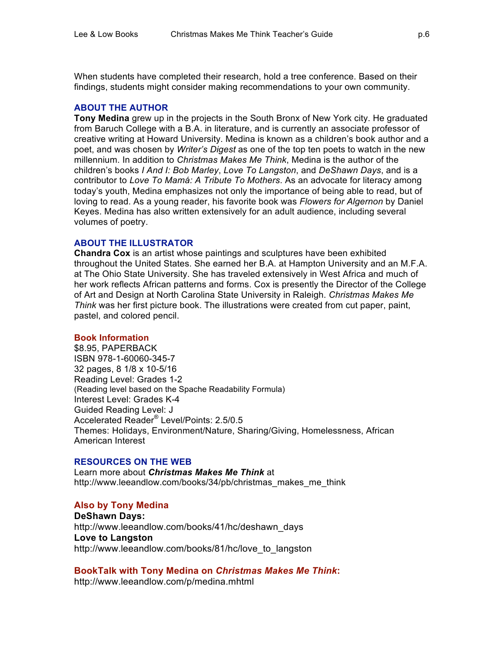When students have completed their research, hold a tree conference. Based on their findings, students might consider making recommendations to your own community.

#### **ABOUT THE AUTHOR**

**Tony Medina** grew up in the projects in the South Bronx of New York city. He graduated from Baruch College with a B.A. in literature, and is currently an associate professor of creative writing at Howard University. Medina is known as a children's book author and a poet, and was chosen by *Writer's Digest* as one of the top ten poets to watch in the new millennium. In addition to *Christmas Makes Me Think*, Medina is the author of the children's books *I And I: Bob Marley*, *Love To Langston*, and *DeShawn Days*, and is a contributor to *Love To Mamá: A Tribute To Mothers*. As an advocate for literacy among today's youth, Medina emphasizes not only the importance of being able to read, but of loving to read. As a young reader, his favorite book was *Flowers for Algernon* by Daniel Keyes. Medina has also written extensively for an adult audience, including several volumes of poetry.

# **ABOUT THE ILLUSTRATOR**

**Chandra Cox** is an artist whose paintings and sculptures have been exhibited throughout the United States. She earned her B.A. at Hampton University and an M.F.A. at The Ohio State University. She has traveled extensively in West Africa and much of her work reflects African patterns and forms. Cox is presently the Director of the College of Art and Design at North Carolina State University in Raleigh. *Christmas Makes Me Think* was her first picture book. The illustrations were created from cut paper, paint, pastel, and colored pencil.

#### **Book Information**

\$8.95, PAPERBACK ISBN 978-1-60060-345-7 32 pages, 8 1/8 x 10-5/16 Reading Level: Grades 1-2 (Reading level based on the Spache Readability Formula) Interest Level: Grades K-4 Guided Reading Level: J Accelerated Reader® Level/Points: 2.5/0.5 Themes: Holidays, Environment/Nature, Sharing/Giving, Homelessness, African American Interest

# **RESOURCES ON THE WEB**

Learn more about *Christmas Makes Me Think* at http://www.leeandlow.com/books/34/pb/christmas\_makes\_me\_think

# **Also by Tony Medina**

**DeShawn Days:** http://www.leeandlow.com/books/41/hc/deshawn\_days **Love to Langston** http://www.leeandlow.com/books/81/hc/love\_to\_langston

# **BookTalk with Tony Medina on** *Christmas Makes Me Think***:**

http://www.leeandlow.com/p/medina.mhtml